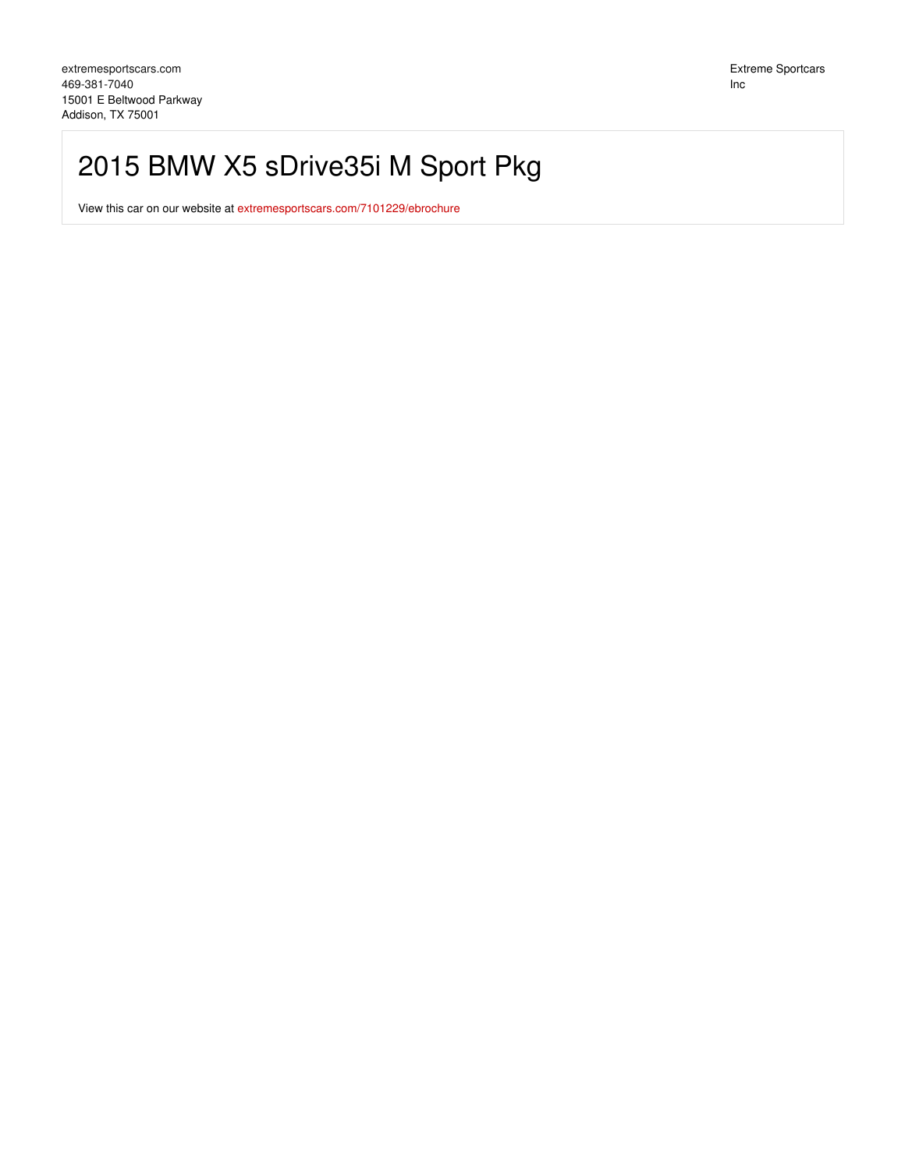## 2015 BMW X5 sDrive35i M Sport Pkg

View this car on our website at [extremesportscars.com/7101229/ebrochure](https://extremesportscars.com/vehicle/7101229/2015-bmw-x5-sdrive35i-m-sport-pkg-addison-tx-75001/7101229/ebrochure)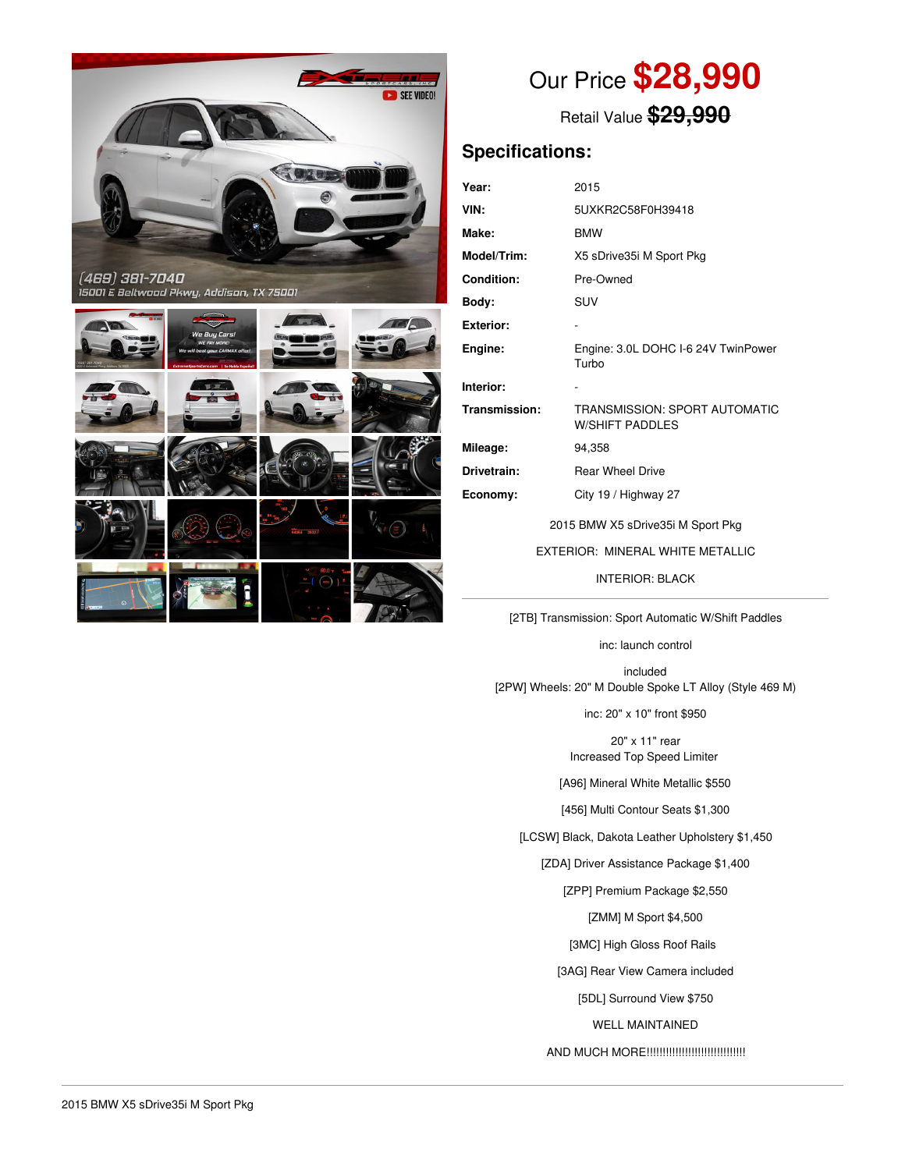



# Our Price **\$28,990**

Retail Value **\$29,990**

## **Specifications:**

| Year:                            | 2015                                                    |  |  |  |
|----------------------------------|---------------------------------------------------------|--|--|--|
| VIN:                             | 5UXKR2C58F0H39418                                       |  |  |  |
| Make:                            | <b>BMW</b>                                              |  |  |  |
| <b>Model/Trim:</b>               | X5 sDrive35i M Sport Pkg                                |  |  |  |
| <b>Condition:</b>                | Pre-Owned                                               |  |  |  |
| Body:                            | <b>SUV</b>                                              |  |  |  |
| Exterior:                        |                                                         |  |  |  |
| Engine:                          | Engine: 3.0L DOHC I-6 24V TwinPower<br>Turbo            |  |  |  |
| Interior:                        |                                                         |  |  |  |
| Transmission:                    | TRANSMISSION: SPORT AUTOMATIC<br><b>W/SHIFT PADDLES</b> |  |  |  |
| Mileage:                         | 94,358                                                  |  |  |  |
| Drivetrain:                      | <b>Rear Wheel Drive</b>                                 |  |  |  |
| Economy:                         | City 19 / Highway 27                                    |  |  |  |
|                                  | 2015 BMW X5 sDrive35i M Sport Pkg                       |  |  |  |
| EXTERIOR: MINERAL WHITE METALLIC |                                                         |  |  |  |
| <b>INTERIOR: BLACK</b>           |                                                         |  |  |  |
|                                  |                                                         |  |  |  |

[2TB] Transmission: Sport Automatic W/Shift Paddles

inc: launch control

included [2PW] Wheels: 20" M Double Spoke LT Alloy (Style 469 M)

inc: 20" x 10" front \$950

20" x 11" rear Increased Top Speed Limiter

[A96] Mineral White Metallic \$550

[456] Multi Contour Seats \$1,300

[LCSW] Black, Dakota Leather Upholstery \$1,450

[ZDA] Driver Assistance Package \$1,400

[ZPP] Premium Package \$2,550

[ZMM] M Sport \$4,500

[3MC] High Gloss Roof Rails

[3AG] Rear View Camera included

[5DL] Surround View \$750

WELL MAINTAINED

AND MUCH MORE!!!!!!!!!!!!!!!!!!!!!!!!!!!!!!!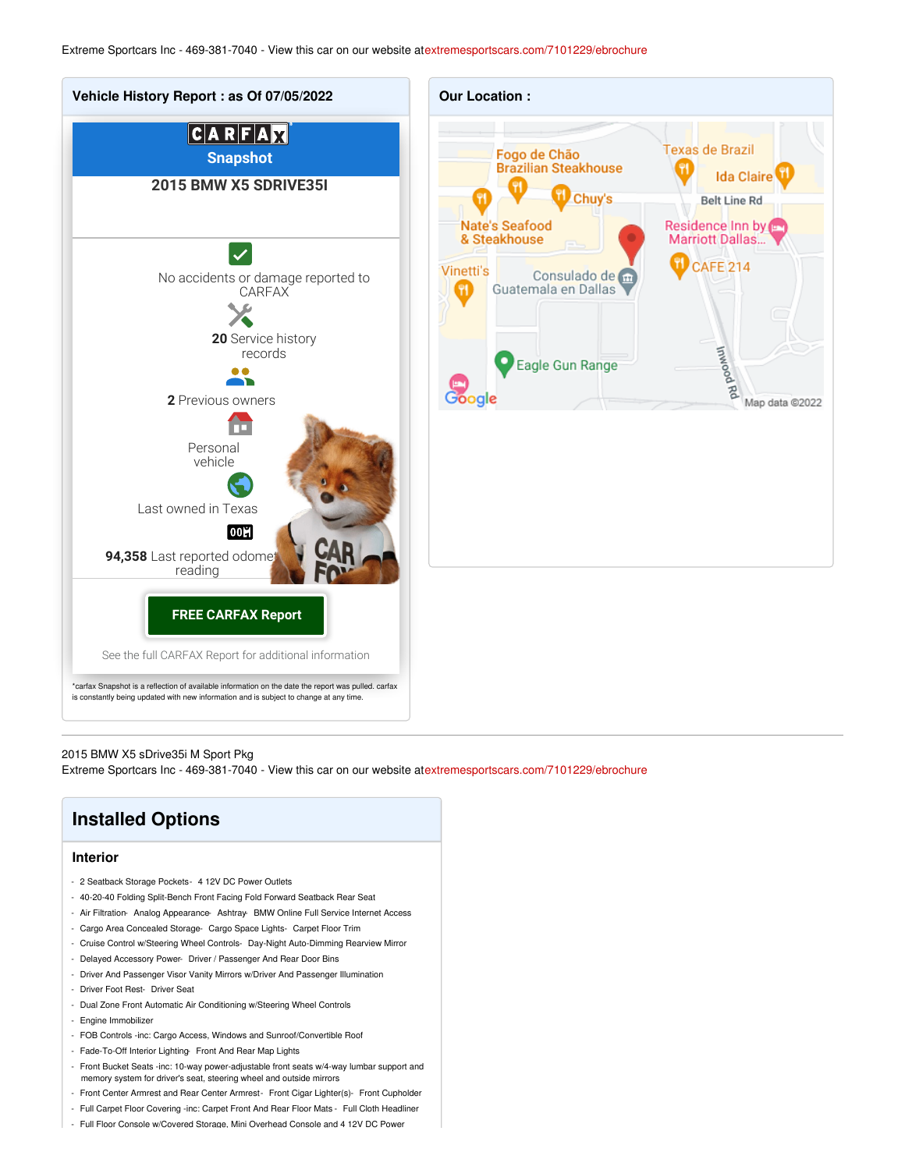

#### 2015 BMW X5 sDrive35i M Sport Pkg

Extreme Sportcars Inc - 469-381-7040 - View this car on our website at[extremesportscars.com/7101229/ebrochure](https://extremesportscars.com/vehicle/7101229/2015-bmw-x5-sdrive35i-m-sport-pkg-addison-tx-75001/7101229/ebrochure)

| <b>Installed Options</b>                                                                   |
|--------------------------------------------------------------------------------------------|
| <b>Interior</b>                                                                            |
| - 2 Seatback Storage Pockets- 4 12V DC Power Outlets                                       |
| - 40-20-40 Folding Split-Bench Front Facing Fold Forward Seatback Rear Seat                |
| - Air Filtration- Analog Appearance- Ashtray- BMW Online Full Service Internet Access      |
| Cargo Area Concealed Storage- Cargo Space Lights- Carpet Floor Trim                        |
| - Cruise Control w/Steering Wheel Controls- Day-Night Auto-Dimming Rearview Mirror         |
| Delayed Accessory Power- Driver / Passenger And Rear Door Bins<br>$\overline{\phantom{a}}$ |
| Driver And Passenger Visor Vanity Mirrors w/Driver And Passenger Illumination<br>٠         |
| - Driver Foot Rest- Driver Seat                                                            |
| - Dual Zone Front Automatic Air Conditioning w/Steering Wheel Controls                     |
| - Engine Immobilizer                                                                       |
| - FOB Controls -inc: Cargo Access Windows and Suproof/Convertible Boof                     |

- FOB Controls -inc: Cargo Access, Windows and Sunroof/Convertible Roof
- Fade-To-Off Interior Lighting- Front And Rear Map Lights
- Front Bucket Seats -inc: 10-way power-adjustable front seats w/4-way lumbar support and memory system for driver's seat, steering wheel and outside mirrors
- Front Center Armrest and Rear Center Armrest- Front Cigar Lighter(s)- Front Cupholder
- Full Carpet Floor Covering -inc: Carpet Front And Rear Floor Mats Full Cloth Headliner
- Full Floor Console w/Covered Storage, Mini Overhead Console and 4 12V DC Power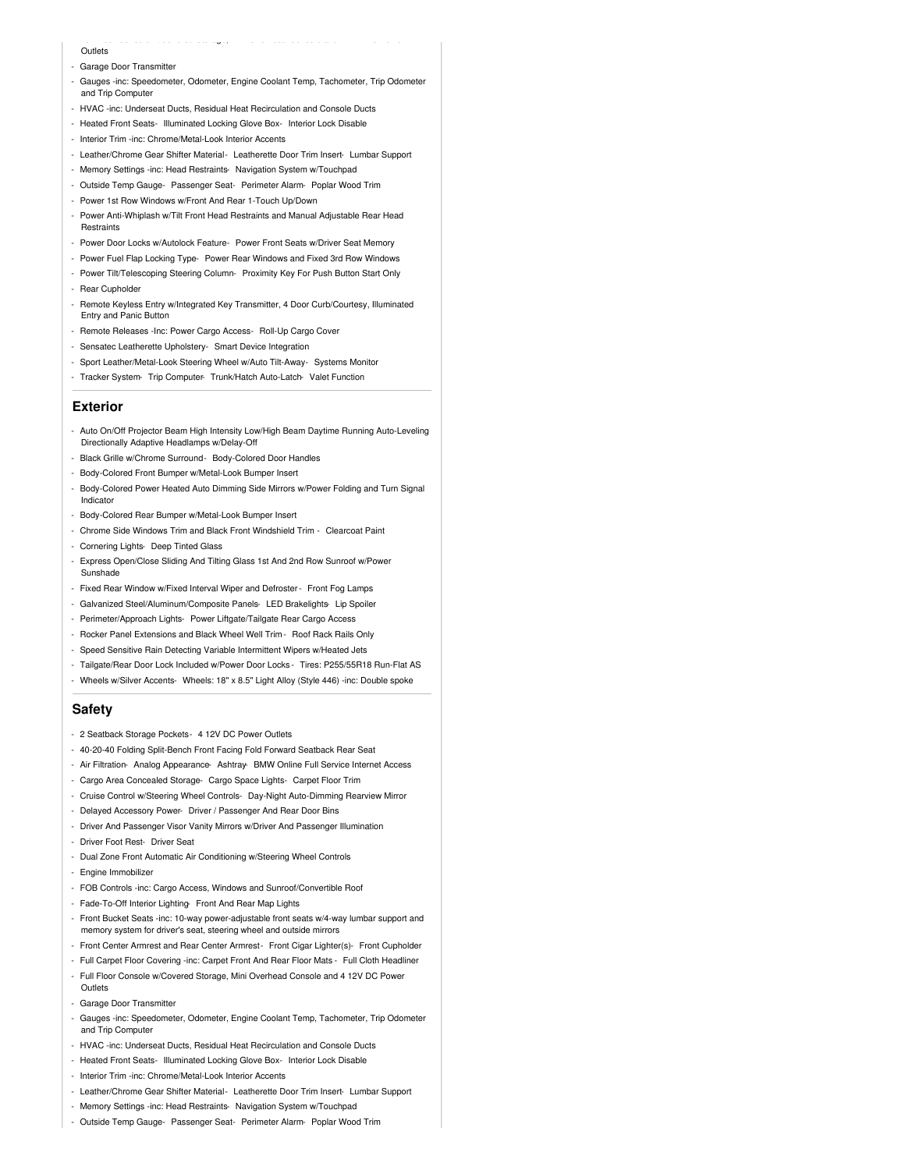- **Outlets**
- Garage Door Transmitter
- Gauges -inc: Speedometer, Odometer, Engine Coolant Temp, Tachometer, Trip Odometer and Trip Compute

- Full Floor Console w/Covered Storage, Mini Overhead Console and 4 12V DC Power

- HVAC -inc: Underseat Ducts, Residual Heat Recirculation and Console Ducts
- Heated Front Seats- Illuminated Locking Glove Box- Interior Lock Disable
- Interior Trim -inc: Chrome/Metal-Look Interior Accents
- Leather/Chrome Gear Shifter Material- Leatherette Door Trim Insert- Lumbar Support
- Memory Settings -inc: Head Restraints- Navigation System w/Touchpad
- Outside Temp Gauge- Passenger Seat- Perimeter Alarm- Poplar Wood Trim
- Power 1st Row Windows w/Front And Rear 1-Touch Up/Down
- Power Anti-Whiplash w/Tilt Front Head Restraints and Manual Adjustable Rear Head **Restraints**
- Power Door Locks w/Autolock Feature- Power Front Seats w/Driver Seat Memory
- Power Fuel Flap Locking Type- Power Rear Windows and Fixed 3rd Row Windows
- Power Tilt/Telescoping Steering Column- Proximity Key For Push Button Start Only
- Rear Cupholder
- Remote Keyless Entry w/Integrated Key Transmitter, 4 Door Curb/Courtesy, Illuminated Entry and Panic Button
- Remote Releases -Inc: Power Cargo Access- Roll-Up Cargo Cover
- Sensatec Leatherette Upholstery- Smart Device Integration
- Sport Leather/Metal-Look Steering Wheel w/Auto Tilt-Away- Systems Monitor
- Tracker System- Trip Computer- Trunk/Hatch Auto-Latch- Valet Function

#### **Exterior**

- Auto On/Off Projector Beam High Intensity Low/High Beam Daytime Running Auto-Leveling Directionally Adaptive Headlamps w/Delay-Off
- Black Grille w/Chrome Surround- Body-Colored Door Handles
- Body-Colored Front Bumper w/Metal-Look Bumper Insert
- Body-Colored Power Heated Auto Dimming Side Mirrors w/Power Folding and Turn Signal Indicator
- Body-Colored Rear Bumper w/Metal-Look Bumper Insert
- Chrome Side Windows Trim and Black Front Windshield Trim Clearcoat Paint
- Cornering Lights- Deep Tinted Glass
- Express Open/Close Sliding And Tilting Glass 1st And 2nd Row Sunroof w/Power Sunshade
- Fixed Rear Window w/Fixed Interval Wiper and Defroster- Front Fog Lamps
- Galvanized Steel/Aluminum/Composite Panels- LED Brakelights- Lip Spoiler
- Perimeter/Approach Lights- Power Liftgate/Tailgate Rear Cargo Access
- Rocker Panel Extensions and Black Wheel Well Trim Roof Rack Rails Only
- Speed Sensitive Rain Detecting Variable Intermittent Wipers w/Heated Jets
- Tailgate/Rear Door Lock Included w/Power Door Locks Tires: P255/55R18 Run-Flat AS
- Wheels w/Silver Accents- Wheels: 18" x 8.5" Light Alloy (Style 446) -inc: Double spoke

#### **Safety**

- 2 Seatback Storage Pockets- 4 12V DC Power Outlets
- 40-20-40 Folding Split-Bench Front Facing Fold Forward Seatback Rear Seat
- Air Filtration- Analog Appearance- Ashtray- BMW Online Full Service Internet Access
- Cargo Area Concealed Storage- Cargo Space Lights- Carpet Floor Trim
- Cruise Control w/Steering Wheel Controls- Day-Night Auto-Dimming Rearview Mirror
- Delayed Accessory Power- Driver / Passenger And Rear Door Bins
- Driver And Passenger Visor Vanity Mirrors w/Driver And Passenger Illumination
- Driver Foot Rest- Driver Seat
- Dual Zone Front Automatic Air Conditioning w/Steering Wheel Controls
- Engine Immobilizer
- FOB Controls -inc: Cargo Access, Windows and Sunroof/Convertible Roof
- Fade-To-Off Interior Lighting- Front And Rear Map Lights
- Front Bucket Seats -inc: 10-way power-adjustable front seats w/4-way lumbar support and memory system for driver's seat, steering wheel and outside mirrors
- Front Center Armrest and Rear Center Armrest- Front Cigar Lighter(s)- Front Cupholder
- Full Carpet Floor Covering -inc: Carpet Front And Rear Floor Mats Full Cloth Headliner
- Full Floor Console w/Covered Storage, Mini Overhead Console and 4 12V DC Power **Outlets**
- Garage Door Transmitter
- Gauges -inc: Speedometer, Odometer, Engine Coolant Temp, Tachometer, Trip Odometer and Trip Computer
- HVAC -inc: Underseat Ducts, Residual Heat Recirculation and Console Ducts
- Heated Front Seats- Illuminated Locking Glove Box- Interior Lock Disable
- Interior Trim -inc: Chrome/Metal-Look Interior Accents
- Leather/Chrome Gear Shifter Material- Leatherette Door Trim Insert- Lumbar Support
- Memory Settings -inc: Head Restraints- Navigation System w/Touchpad
- Outside Temp Gauge- Passenger Seat- Perimeter Alarm- Poplar Wood Trim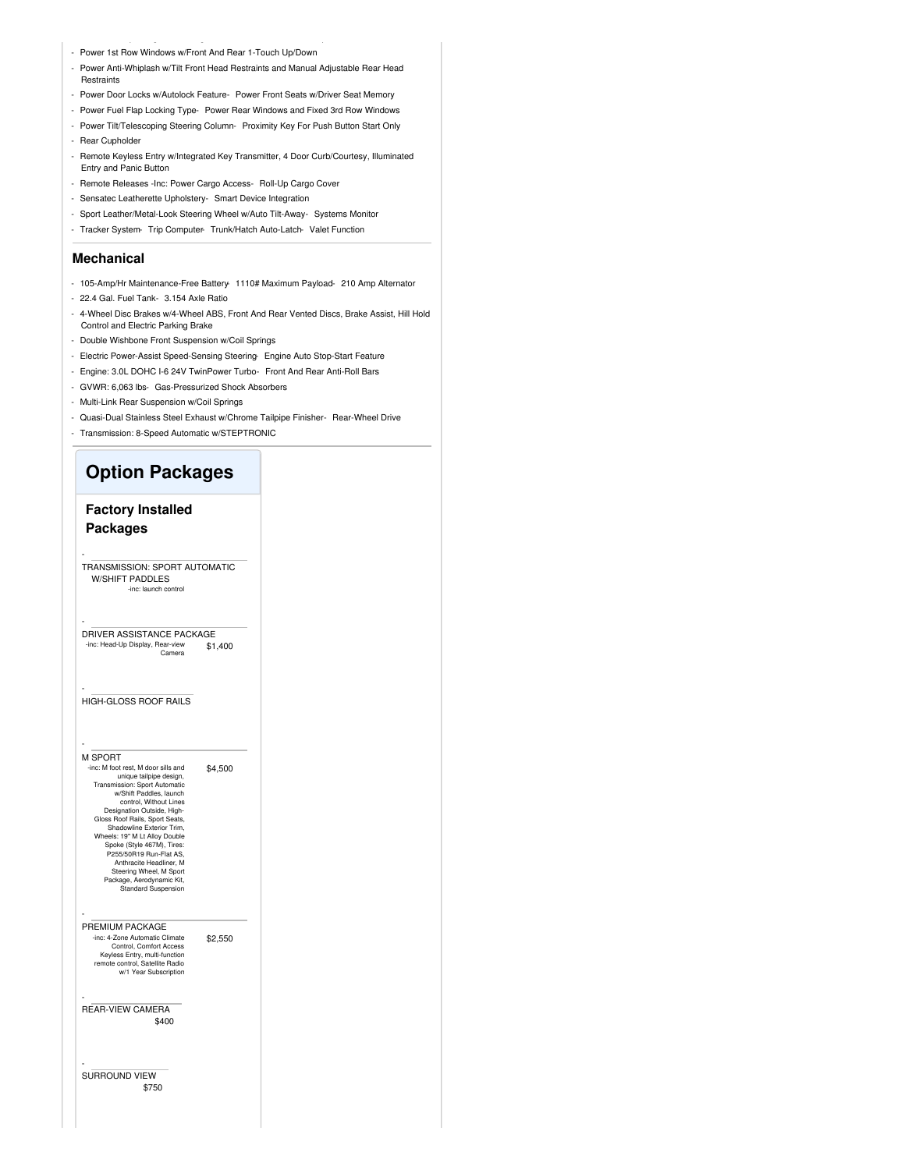- Power 1st Row Windows w/Front And Rear 1-Touch Up/Down
- Power Anti-Whiplash w/Tilt Front Head Restraints and Manual Adjustable Rear Head Restraints
- Power Door Locks w/Autolock Feature- Power Front Seats w/Driver Seat Memory
- Power Fuel Flap Locking Type- Power Rear Windows and Fixed 3rd Row Windows
- Power Tilt/Telescoping Steering Column- Proximity Key For Push Button Start Only
- Rear Cupholder
- Remote Keyless Entry w/Integrated Key Transmitter, 4 Door Curb/Courtesy, Illuminated Entry and Panic Button
- Remote Releases -Inc: Power Cargo Access- Roll-Up Cargo Cover
- Sensatec Leatherette Upholstery- Smart Device Integration
- Sport Leather/Metal-Look Steering Wheel w/Auto Tilt-Away- Systems Monitor
- Tracker System- Trip Computer- Trunk/Hatch Auto-Latch- Valet Function

#### **Mechanical**

- 105-Amp/Hr Maintenance-Free Battery- 1110# Maximum Payload- 210 Amp Alternator
- 22.4 Gal. Fuel Tank- 3.154 Axle Ratio
- 4-Wheel Disc Brakes w/4-Wheel ABS, Front And Rear Vented Discs, Brake Assist, Hill Hold Control and Electric Parking Brake
- Double Wishbone Front Suspension w/Coil Springs
- Electric Power-Assist Speed-Sensing Steering- Engine Auto Stop-Start Feature
- Engine: 3.0L DOHC I-6 24V TwinPower Turbo- Front And Rear Anti-Roll Bars
- GVWR: 6,063 lbs- Gas-Pressurized Shock Absorbers
- Multi-Link Rear Suspension w/Coil Springs
- Quasi-Dual Stainless Steel Exhaust w/Chrome Tailpipe Finisher- Rear-Wheel Drive
- Transmission: 8-Speed Automatic w/STEPTRONIC

### **Option Packages**

#### **Factory Installed Packages**

- TRANSMISSION: SPORT AUTOMATIC W/SHIFT PADDLES -inc: launch contr

\$1,400 DRIVER ASSISTANCE PACKAGE -inc: Head-Up Display, Rear-view Camera

| <b>HIGH-GLOSS ROOF RAILS</b> |
|------------------------------|

#### M SPORT

-

-

-

-

\$4,500 -inc: M foot rest, M door sills and unique tailpipe design, Transmission: Sport Automatic w/Shift Paddles, launch control, Without Lines Designation Outside, High-Gloss Roof Rails, Sport Seats, Shadowline Exterior Trim, Wheels: 19" M Lt Alloy Double Spoke (Style 467M), Tires: P255/50R19 Run-Flat AS, Anthracite Headliner, M Steering Wheel, M Sport Package, Aerodynamic Kit, Standard Suspension

\$2,550 PREMIUM PACKAGE -inc: 4-Zone Automatic Climate Control, Comfort Access Keyless Entry, multi-function remote control, Satellite Radio w/1 Year Subscription

\$400 REAR-VIEW CAMERA

\$750 - SURROUND VIEW